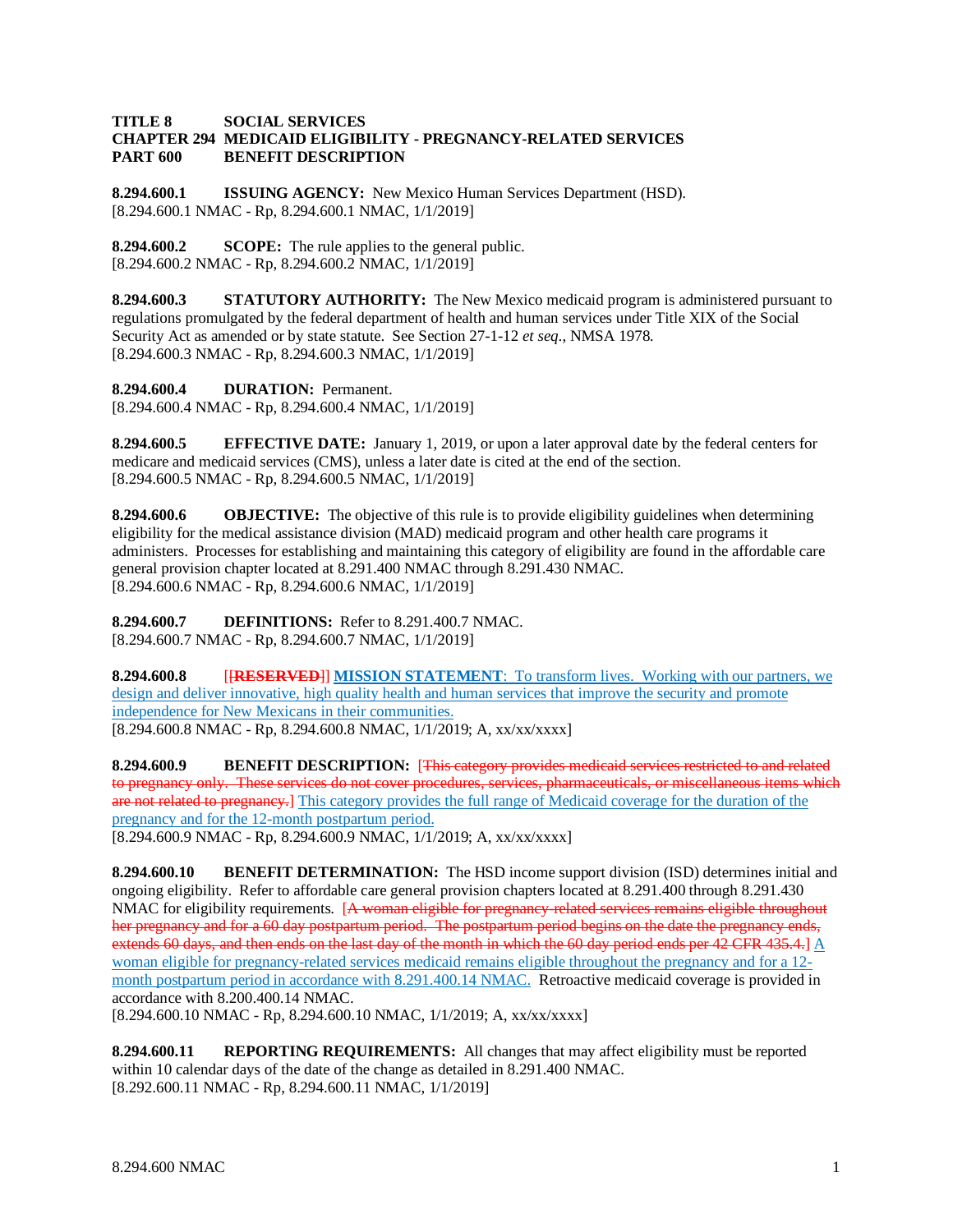## **TITLE 8 SOCIAL SERVICES CHAPTER 294 MEDICAID ELIGIBILITY - PREGNANCY-RELATED SERVICES PART 600 BENEFIT DESCRIPTION**

**8.294.600.1 ISSUING AGENCY:** New Mexico Human Services Department (HSD). [8.294.600.1 NMAC - Rp, 8.294.600.1 NMAC, 1/1/2019]

**8.294.600.2 SCOPE:** The rule applies to the general public. [8.294.600.2 NMAC - Rp, 8.294.600.2 NMAC, 1/1/2019]

**8.294.600.3 STATUTORY AUTHORITY:** The New Mexico medicaid program is administered pursuant to regulations promulgated by the federal department of health and human services under Title XIX of the Social Security Act as amended or by state statute. See Section 27-1-12 *et seq*., NMSA 1978. [8.294.600.3 NMAC - Rp, 8.294.600.3 NMAC, 1/1/2019]

**8.294.600.4 DURATION:** Permanent.

[8.294.600.4 NMAC - Rp, 8.294.600.4 NMAC, 1/1/2019]

**8.294.600.5 EFFECTIVE DATE:** January 1, 2019, or upon a later approval date by the federal centers for medicare and medicaid services (CMS), unless a later date is cited at the end of the section. [8.294.600.5 NMAC - Rp, 8.294.600.5 NMAC, 1/1/2019]

**8.294.600.6 OBJECTIVE:** The objective of this rule is to provide eligibility guidelines when determining eligibility for the medical assistance division (MAD) medicaid program and other health care programs it administers. Processes for establishing and maintaining this category of eligibility are found in the affordable care general provision chapter located at 8.291.400 NMAC through 8.291.430 NMAC. [8.294.600.6 NMAC - Rp, 8.294.600.6 NMAC, 1/1/2019]

**8.294.600.7 DEFINITIONS:** Refer to 8.291.400.7 NMAC. [8.294.600.7 NMAC - Rp, 8.294.600.7 NMAC, 1/1/2019]

**8.294.600.8** [[**RESERVED**]] **MISSION STATEMENT**: To transform lives. Working with our partners, we design and deliver innovative, high quality health and human services that improve the security and promote independence for New Mexicans in their communities. [8.294.600.8 NMAC - Rp, 8.294.600.8 NMAC, 1/1/2019; A, xx/xx/xxxx]

**8.294.600.9 BENEFIT DESCRIPTION:** [This category provides medicaid services restricted to and related to pregnancy only. These services do not cover procedures, services, pharmaceuticals, or miscellaneous items which are not related to pregnancy.] This category provides the full range of Medicaid coverage for the duration of the pregnancy and for the 12-month postpartum period.

[8.294.600.9 NMAC - Rp, 8.294.600.9 NMAC, 1/1/2019; A, xx/xx/xxxx]

**8.294.600.10 BENEFIT DETERMINATION:** The HSD income support division (ISD) determines initial and ongoing eligibility. Refer to affordable care general provision chapters located at 8.291.400 through 8.291.430 NMAC for eligibility requirements. [A woman eligible for pregnancy-related services remains eligible throughout her pregnancy and for a 60 day postpartum period. The postpartum period begins on the date the pregnancy ends, extends 60 days, and then ends on the last day of the month in which the 60 day period ends per 42 CFR 435.4.] A woman eligible for pregnancy-related services medicaid remains eligible throughout the pregnancy and for a 12 month postpartum period in accordance with 8.291.400.14 NMAC. Retroactive medicaid coverage is provided in accordance with 8.200.400.14 NMAC. [8.294.600.10 NMAC - Rp, 8.294.600.10 NMAC, 1/1/2019; A, xx/xx/xxxx]

**8.294.600.11 REPORTING REQUIREMENTS:** All changes that may affect eligibility must be reported within 10 calendar days of the date of the change as detailed in 8.291.400 NMAC. [8.292.600.11 NMAC - Rp, 8.294.600.11 NMAC, 1/1/2019]